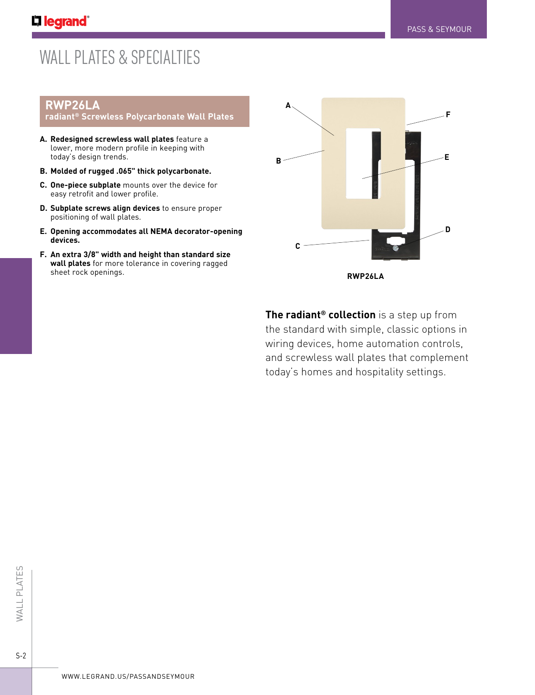# WALL PLATES & SPECIALTIES

# **RWP26LA**

#### **radiant® Screwless Polycarbonate Wall Plates**

- **A. Redesigned screwless wall plates** feature a lower, more modern profile in keeping with today's design trends.
- **B. Molded of rugged .065" thick polycarbonate.**
- **C. One-piece subplate** mounts over the device for easy retrofit and lower profile.
- **D. Subplate screws align devices** to ensure proper positioning of wall plates.
- **E. Opening accommodates all NEMA decorator-opening devices.**
- **F. An extra 3/8" width and height than standard size wall plates** for more tolerance in covering ragged sheet rock openings.



**The radiant® collection** is a step up from the standard with simple, classic options in wiring devices, home automation controls, and screwless wall plates that complement today's homes and hospitality settings.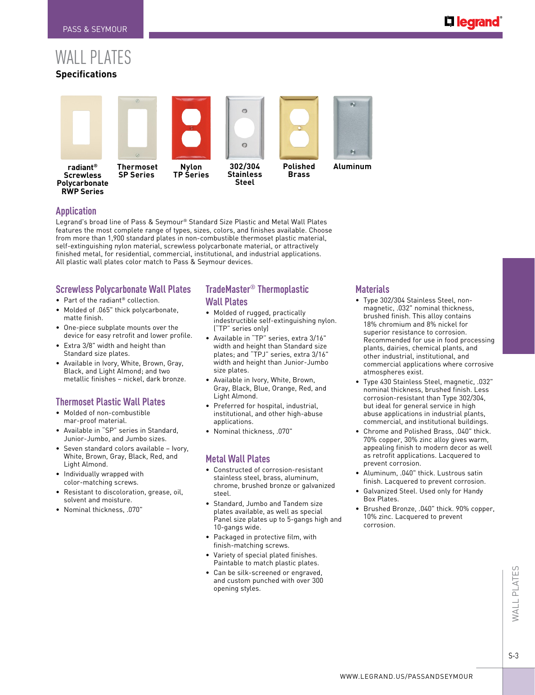# WALL PLATES **Specifications**



## **Application**

Legrand's broad line of Pass & Seymour® Standard Size Plastic and Metal Wall Plates features the most complete range of types, sizes, colors, and finishes available. Choose from more than 1,900 standard plates in non-combustible thermoset plastic material, self-extinguishing nylon material, screwless polycarbonate material, or attractively finished metal, for residential, commercial, institutional, and industrial applications. All plastic wall plates color match to Pass & Seymour devices.

#### **Screwless Polycarbonate Wall Plates**

- Part of the radiant® collection.
- Molded of .065" thick polycarbonate, matte finish.
- One-piece subplate mounts over the device for easy retrofit and lower profile.
- Extra 3/8" width and height than Standard size plates.
- Available in Ivory, White, Brown, Gray, Black, and Light Almond; and two metallic finishes – nickel, dark bronze.

# **Thermoset Plastic Wall Plates**

- Molded of non-combustible mar-proof material.
- Available in "SP" series in Standard, Junior-Jumbo, and Jumbo sizes.
- Seven standard colors available Ivory, White, Brown, Gray, Black, Red, and Light Almond.
- Individually wrapped with color-matching screws.
- Resistant to discoloration, grease, oil, solvent and moisture.
- Nominal thickness, .070"

# **TradeMaster® Thermoplastic Wall Plates**

- Molded of rugged, practically indestructible self-extinguishing nylon. ("TP" series only)
- Available in "TP" series, extra 3/16" width and height than Standard size plates; and "TPJ" series, extra 3/16" width and height than Junior-Jumbo size plates.
- Available in Ivory, White, Brown, Gray, Black, Blue, Orange, Red, and Light Almond.
- Preferred for hospital, industrial, institutional, and other high-abuse applications.
- Nominal thickness, .070"

# **Metal Wall Plates**

- Constructed of corrosion-resistant stainless steel, brass, aluminum, chrome, brushed bronze or galvanized steel.
- Standard, Jumbo and Tandem size plates available, as well as special Panel size plates up to 5-gangs high and 10-gangs wide.
- Packaged in protective film, with finish-matching screws.
- Variety of special plated finishes. Paintable to match plastic plates.
- Can be silk-screened or engraved, and custom punched with over 300 opening styles.

## **Materials**

- Type 302/304 Stainless Steel, nonmagnetic, .032" nominal thickness, brushed finish. This alloy contains 18% chromium and 8% nickel for superior resistance to corrosion. Recommended for use in food processing plants, dairies, chemical plants, and other industrial, institutional, and commercial applications where corrosive atmospheres exist.
- Type 430 Stainless Steel, magnetic, .032" nominal thickness, brushed finish. Less corrosion-resistant than Type 302/304, but ideal for general service in high abuse applications in industrial plants, commercial, and institutional buildings.
- Chrome and Polished Brass, .040" thick. 70% copper, 30% zinc alloy gives warm, appealing finish to modern decor as well as retrofit applications. Lacquered to prevent corrosion.
- Aluminum, .040" thick. Lustrous satin finish. Lacquered to prevent corrosion.
- Galvanized Steel. Used only for Handy Box Plates.
- Brushed Bronze, .040" thick. 90% copper, 10% zinc. Lacquered to prevent corrosion.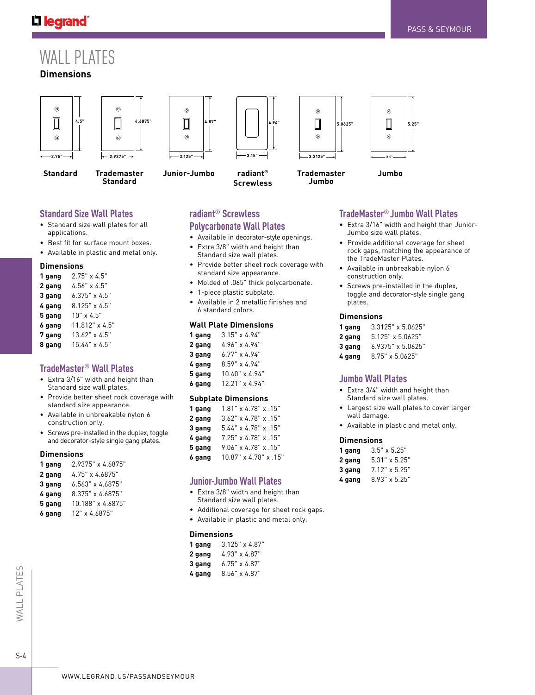# L'I legrand<sup>®</sup>

# WALL PLATES

# **Dimensions**





**Standard**



**Trademaster Standard**



**Junior-Jumbo**

**4.87"**



**radiant® Screwless**





**Trademaster Jumbo**

**Jumbo**

# **Standard Size Wall Plates**

- Standard size wall plates for all applications.
- Best fit for surface mount boxes.
- Available in plastic and metal only.

#### **Dimensions**

- **1 gang** 2.75" x 4.5"
- **2 gang** 4.56" x 4.5"
- **3 gang** 6.375" x 4.5"
- **4 gang** 8.125" x 4.5"
- **5 gang** 10" x 4.5"
- **6 gang** 11.812" x 4.5"
- **7 gang** 13.62" x 4.5"
- **8 gang** 15.44" x 4.5"

### **TradeMaster® Wall Plates**

- Extra 3/16" width and height than Standard size wall plates.
- Provide better sheet rock coverage with standard size appearance.
- Available in unbreakable nylon 6 construction only.
- Screws pre-installed in the duplex, toggle and decorator-style single gang plates.

#### **Dimensions**

| 1 gang | 2.9375" x 4.6875"       |
|--------|-------------------------|
| 2 gang | 4.75" x 4.6875"         |
| 3 gang | $6.563" \times 4.6875"$ |
| 4 gang | 8.375" x 4.6875"        |
| 5 gang | 10.188" x 4.6875"       |
| 6 gang | 12" x 4.6875"           |

# **radiant® Screwless Polycarbonate Wall Plates**

- Available in decorator-style openings.
- Extra 3/8" width and height than Standard size wall plates.
- Provide better sheet rock coverage with standard size appearance.
- Molded of .065" thick polycarbonate.
- 1-piece plastic subplate.
- Available in 2 metallic finishes and 6 standard colors.

#### **Wall Plate Dimensions**

| 1 gang | $3.15" \times 4.94"$ |
|--------|----------------------|
| 2 gang | 4.96" x 4.94"        |
| 3 gang | $6.77" \times 4.94"$ |
| 4 gang | 8.59" x 4.94"        |
| 5 gang | 10.40" x 4.94"       |
| 6 gang | 12.21" x 4.94"       |

#### **Subplate Dimensions**

| 1 gang | $1.81$ " x 4.78" x .15"             |
|--------|-------------------------------------|
| 2 gang | $3.62$ " x $4.78$ " x $.15$ "       |
| 3 qanq | $5.44'' \times 4.78'' \times .15''$ |
| 4 qanq | $7.25$ " x 4.78" x .15"             |
| 5 gang | $9.06" \times 4.78" \times .15"$    |
| 6 qanq | 10.87" x 4.78" x .15"               |

#### **Junior-Jumbo Wall Plates**

- Extra 3/8" width and height than Standard size wall plates.
- Additional coverage for sheet rock gaps.
- Available in plastic and metal only.

#### **Dimensions**

| 1 gang | $3.125" \times 4.87"$ |
|--------|-----------------------|
| 2 gang | 4.93" x 4.87"         |
| 3 gang | $6.75" \times 4.87"$  |

**4 gang** 8.56" x 4.87"

# **TradeMaster® Jumbo Wall Plates**

- Extra 3/16" width and height than Junior-Jumbo size wall plates.
- Provide additional coverage for sheet rock gaps, matching the appearance of the TradeMaster Plates.
- Available in unbreakable nylon 6 construction only.
- Screws pre-installed in the duplex, toggle and decorator-style single gang plates.

#### **Dimensions**

| 1 gang | $3.3125" \times 5.0625"$ |
|--------|--------------------------|
| 2 gang | $5.125" \times 5.0625"$  |
| 3 gang | $6.9375" \times 5.0625"$ |
| 4 gang | 8.75" x 5.0625"          |

#### **Jumbo Wall Plates**

- Extra 3/4" width and height than Standard size wall plates.
- Largest size wall plates to cover larger wall damage.
- Available in plastic and metal only.

#### **Dimensions**

| 1 gang | $3.5" \times 5.25"$  |  |  |
|--------|----------------------|--|--|
| 2 gang | $5.31" \times 5.25"$ |  |  |
| 3 gang | $7.12" \times 5.25"$ |  |  |
| 4 gang | $8.93" \times 5.25"$ |  |  |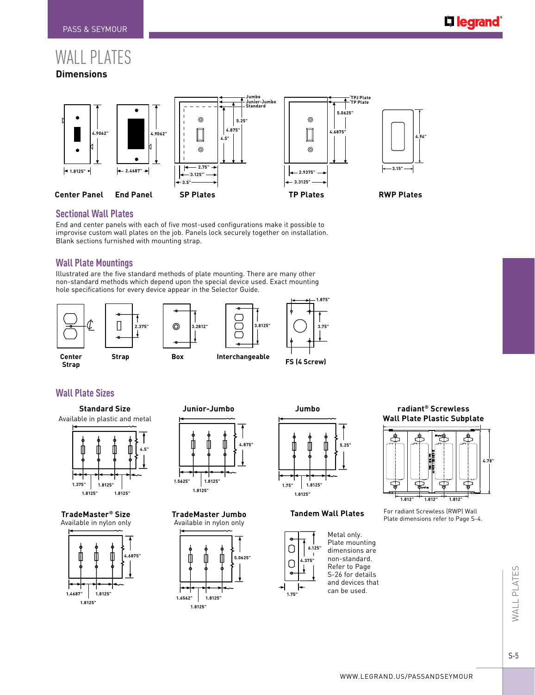# WALL PLATES **Dimensions**



#### **Sectional Wall Plates**

End and center panels with each of five most-used configurations make it possible to improvise custom wall plates on the job. Panels lock securely together on installation. Blank sections furnished with mounting strap.

#### **Wall Plate Mountings**

Illustrated are the five standard methods of plate mounting. There are many other non-standard methods which depend upon the special device used. Exact mounting hole specifications for every device appear in the Selector Guide.



# **Wall Plate Sizes**

#### **Standard Size** Available in plastic and metal







**Junior-Jumbo Jumbo 4.875" 1.5625" 1.8125" 1.8125" 1.75"**

**TradeMaster Jumbo**





#### **Tandem Wall Plates**



#### **radiant® Screwless Wall Plate Plastic Subplate**



For radiant Screwless (RWP) Wall Plate dimensions refer to Page S-4.